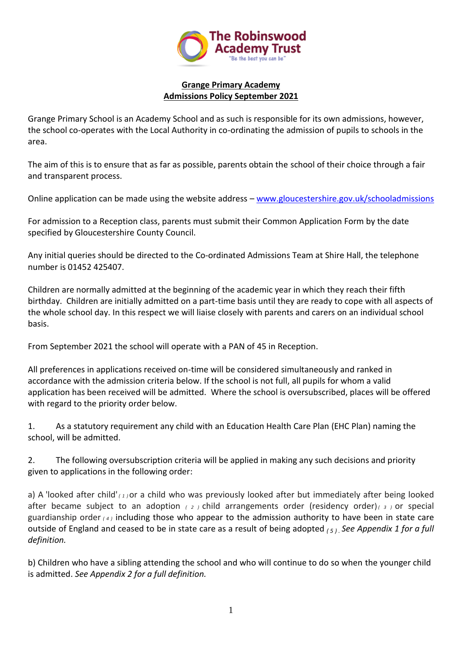

### **Grange Primary Academy Admissions Policy September 2021**

Grange Primary School is an Academy School and as such is responsible for its own admissions, however, the school co-operates with the Local Authority in co-ordinating the admission of pupils to schools in the area.

The aim of this is to ensure that as far as possible, parents obtain the school of their choice through a fair and transparent process.

Online application can be made using the website address – [www.gloucestershire.gov.uk/schooladmissions](http://www.gloucestershire.gov.uk/schooladmissions)

For admission to a Reception class, parents must submit their Common Application Form by the date specified by Gloucestershire County Council.

Any initial queries should be directed to the Co-ordinated Admissions Team at Shire Hall, the telephone number is 01452 425407.

Children are normally admitted at the beginning of the academic year in which they reach their fifth birthday. Children are initially admitted on a part-time basis until they are ready to cope with all aspects of the whole school day. In this respect we will liaise closely with parents and carers on an individual school basis.

From September 2021 the school will operate with a PAN of 45 in Reception.

All preferences in applications received on-time will be considered simultaneously and ranked in accordance with the admission criteria below. If the school is not full, all pupils for whom a valid application has been received will be admitted. Where the school is oversubscribed, places will be offered with regard to the priority order below.

1. As a statutory requirement any child with an Education Health Care Plan (EHC Plan) naming the school, will be admitted.

2. The following oversubscription criteria will be applied in making any such decisions and priority given to applications in the following order:

a) A 'looked after child'  $(1)$  or a child who was previously looked after but immediately after being looked after became subject to an adoption *( <sup>2</sup> )* child arrangements order (residency order)*( <sup>3</sup> )* or special guardianship order *( <sup>4</sup> )* including those who appear to the admission authority to have been in state care outside of England and ceased to be in state care as a result of being adopted *( <sup>5</sup> ) . See Appendix 1 for a full definition.*

b) Children who have a sibling attending the school and who will continue to do so when the younger child is admitted. *See Appendix 2 for a full definition.*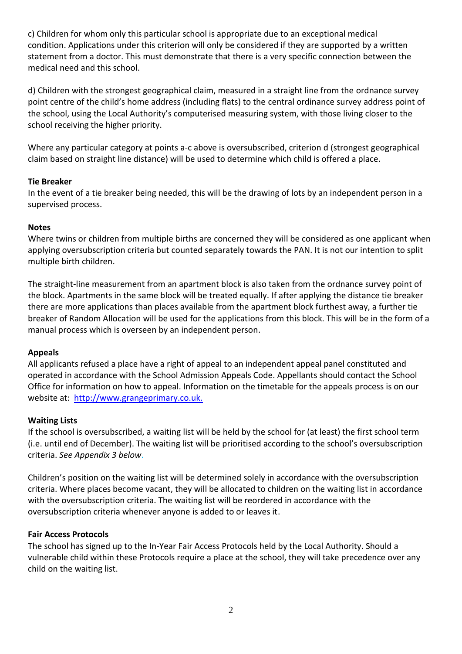c) Children for whom only this particular school is appropriate due to an exceptional medical condition. Applications under this criterion will only be considered if they are supported by a written statement from a doctor. This must demonstrate that there is a very specific connection between the medical need and this school.

d) Children with the strongest geographical claim, measured in a straight line from the ordnance survey point centre of the child's home address (including flats) to the central ordinance survey address point of the school, using the Local Authority's computerised measuring system, with those living closer to the school receiving the higher priority.

Where any particular category at points a-c above is oversubscribed, criterion d (strongest geographical claim based on straight line distance) will be used to determine which child is offered a place.

# **Tie Breaker**

In the event of a tie breaker being needed, this will be the drawing of lots by an independent person in a supervised process.

#### **Notes**

Where twins or children from multiple births are concerned they will be considered as one applicant when applying oversubscription criteria but counted separately towards the PAN. It is not our intention to split multiple birth children.

The straight-line measurement from an apartment block is also taken from the ordnance survey point of the block. Apartments in the same block will be treated equally. If after applying the distance tie breaker there are more applications than places available from the apartment block furthest away, a further tie breaker of Random Allocation will be used for the applications from this block. This will be in the form of a manual process which is overseen by an independent person.

# **Appeals**

All applicants refused a place have a right of appeal to an independent appeal panel constituted and operated in accordance with the School Admission Appeals Code. Appellants should contact the School Office for information on how to appeal. Information on the timetable for the appeals process is on our website at: [http://www.grangeprimary.co.uk.](http://www.grangeprimary.co.uk/)

# **Waiting Lists**

If the school is oversubscribed, a waiting list will be held by the school for (at least) the first school term (i.e. until end of December). The waiting list will be prioritised according to the school's oversubscription criteria. *See Appendix 3 below*.

Children's position on the waiting list will be determined solely in accordance with the oversubscription criteria. Where places become vacant, they will be allocated to children on the waiting list in accordance with the oversubscription criteria. The waiting list will be reordered in accordance with the oversubscription criteria whenever anyone is added to or leaves it.

#### **Fair Access Protocols**

The school has signed up to the In-Year Fair Access Protocols held by the Local Authority. Should a vulnerable child within these Protocols require a place at the school, they will take precedence over any child on the waiting list.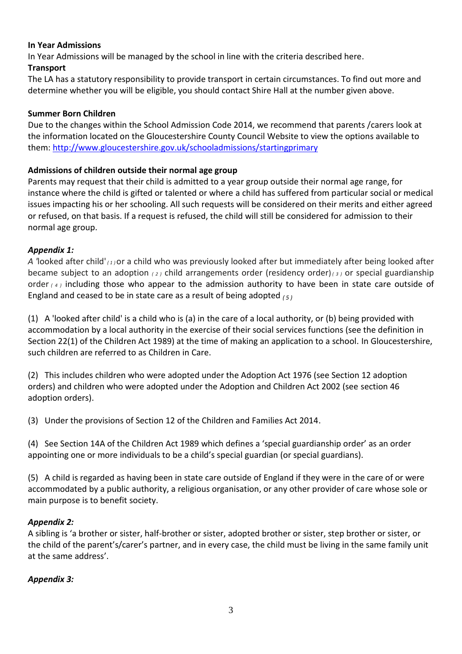# **In Year Admissions**

In Year Admissions will be managed by the school in line with the criteria described here.

## **Transport**

The LA has a statutory responsibility to provide transport in certain circumstances. To find out more and determine whether you will be eligible, you should contact Shire Hall at the number given above.

## **Summer Born Children**

Due to the changes within the School Admission Code 2014, we recommend that parents /carers look at the information located on the Gloucestershire County Council Website to view the options available to them: [http://www.gloucestershire.gov.uk/schooladmissions/startingprimary](http://www.gloucestershire.gov.uk/schooladmissions)

# **Admissions of children outside their normal age group**

Parents may request that their child is admitted to a year group outside their normal age range, for instance where the child is gifted or talented or where a child has suffered from particular social or medical issues impacting his or her schooling. All such requests will be considered on their merits and either agreed or refused, on that basis. If a request is refused, the child will still be considered for admission to their normal age group.

# *Appendix 1:*

*A '*looked after child' *( <sup>1</sup> )*or a child who was previously looked after but immediately after being looked after became subject to an adoption *( <sup>2</sup> )* child arrangements order (residency order)*( <sup>3</sup> )* or special guardianship order *( <sup>4</sup> )* including those who appear to the admission authority to have been in state care outside of England and ceased to be in state care as a result of being adopted *( <sup>5</sup> )*

(1) A 'looked after child' is a child who is (a) in the care of a local authority, or (b) being provided with accommodation by a local authority in the exercise of their social services functions (see the definition in Section 22(1) of the Children Act 1989) at the time of making an application to a school. In Gloucestershire, such children are referred to as Children in Care.

(2) This includes children who were adopted under the Adoption Act 1976 (see Section 12 adoption orders) and children who were adopted under the Adoption and Children Act 2002 (see section 46 adoption orders).

(3) Under the provisions of Section 12 of the Children and Families Act 2014.

(4) See Section 14A of the Children Act 1989 which defines a 'special guardianship order' as an order appointing one or more individuals to be a child's special guardian (or special guardians).

(5) A child is regarded as having been in state care outside of England if they were in the care of or were accommodated by a public authority, a religious organisation, or any other provider of care whose sole or main purpose is to benefit society.

# *Appendix 2:*

A sibling is 'a brother or sister, half-brother or sister, adopted brother or sister, step brother or sister, or the child of the parent's/carer's partner, and in every case, the child must be living in the same family unit at the same address'.

# *Appendix 3:*